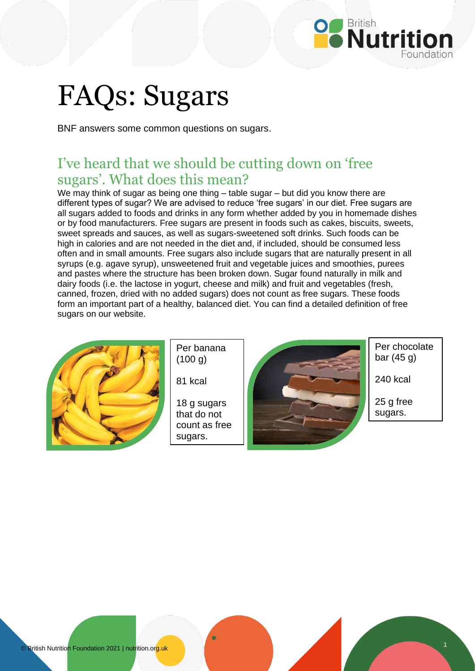

# FAQs: Sugars

BNF answers some common questions on sugars.

## I've heard that we should be cutting down on 'free sugars'. What does this mean?

We may think of sugar as being one thing – table sugar – but did you know there are different types of sugar? We are advised to reduce 'free sugars' in our diet. Free sugars are all sugars added to foods and drinks in any form whether added by you in homemade dishes or by food manufacturers. Free sugars are present in foods such as cakes, biscuits, sweets, sweet spreads and sauces, as well as sugars-sweetened soft drinks. Such foods can be high in calories and are not needed in the diet and, if included, should be consumed less often and in small amounts. Free sugars also include sugars that are naturally present in all syrups (e.g. agave syrup), unsweetened fruit and vegetable juices and smoothies, purees and pastes where the structure has been broken down. Sugar found naturally in milk and dairy foods (i.e. the lactose in yogurt, cheese and milk) and fruit and vegetables (fresh, canned, frozen, dried with no added sugars) does not count as free sugars. These foods form an important part of a healthy, balanced diet. You can find a detailed definition of free sugars on our website.



Per banana  $(100 g)$ 

81 kcal

18 g sugars that do not count as free sugars.



Per chocolate bar (45 g)

240 kcal

25 g free sugars.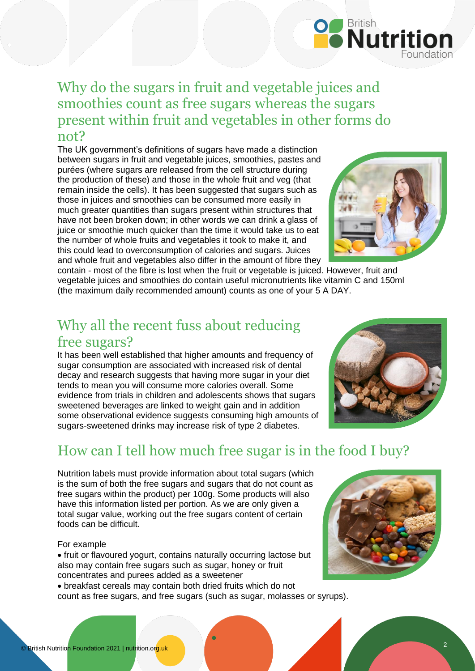#### Why do the sugars in fruit and vegetable juices and smoothies count as free sugars whereas the sugars present within fruit and vegetables in other forms do not?

The UK government's definitions of sugars have made a distinction between sugars in fruit and vegetable juices, smoothies, pastes and purées (where sugars are released from the cell structure during the production of these) and those in the whole fruit and veg (that remain inside the cells). It has been suggested that sugars such as those in juices and smoothies can be consumed more easily in much greater quantities than sugars present within structures that have not been broken down; in other words we can drink a glass of juice or smoothie much quicker than the time it would take us to eat the number of whole fruits and vegetables it took to make it, and this could lead to overconsumption of calories and sugars. Juices and whole fruit and vegetables also differ in the amount of fibre they



**Politish**<br>**Mutrition** 

contain - most of the fibre is lost when the fruit or vegetable is juiced. However, fruit and vegetable juices and smoothies do contain useful micronutrients like vitamin C and 150ml (the maximum daily recommended amount) counts as one of your 5 A DAY.

### Why all the recent fuss about reducing free sugars?

It has been well established that higher amounts and frequency of sugar consumption are associated with increased risk of dental decay and research suggests that having more sugar in your diet tends to mean you will consume more calories overall. Some evidence from trials in children and adolescents shows that sugars sweetened beverages are linked to weight gain and in addition some observational evidence suggests consuming high amounts of sugars-sweetened drinks may increase risk of type 2 diabetes.



# How can I tell how much free sugar is in the food I buy?

Nutrition labels must provide information about total sugars (which is the sum of both the free sugars and sugars that do not count as free sugars within the product) per 100g. Some products will also have this information listed per portion. As we are only given a total sugar value, working out the free sugars content of certain foods can be difficult.

#### For example

• fruit or flavoured yogurt, contains naturally occurring lactose but also may contain free sugars such as sugar, honey or fruit concentrates and purees added as a sweetener

• breakfast cereals may contain both dried fruits which do not count as free sugars, and free sugars (such as sugar, molasses or syrups).



2